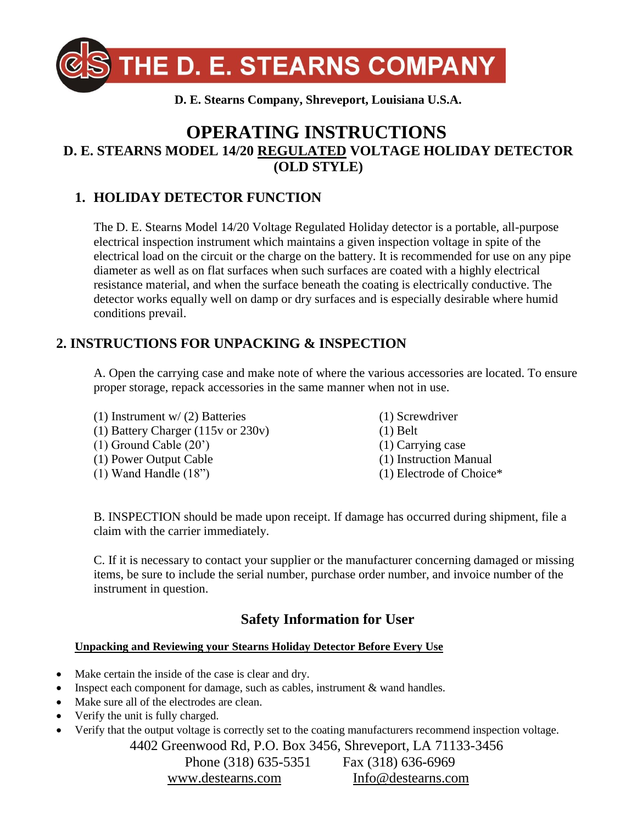

# **OPERATING INSTRUCTIONS D. E. STEARNS MODEL 14/20 REGULATED VOLTAGE HOLIDAY DETECTOR (OLD STYLE)**

# **1. HOLIDAY DETECTOR FUNCTION**

The D. E. Stearns Model 14/20 Voltage Regulated Holiday detector is a portable, all-purpose electrical inspection instrument which maintains a given inspection voltage in spite of the electrical load on the circuit or the charge on the battery. It is recommended for use on any pipe diameter as well as on flat surfaces when such surfaces are coated with a highly electrical resistance material, and when the surface beneath the coating is electrically conductive. The detector works equally well on damp or dry surfaces and is especially desirable where humid conditions prevail.

### **2. INSTRUCTIONS FOR UNPACKING & INSPECTION**

A. Open the carrying case and make note of where the various accessories are located. To ensure proper storage, repack accessories in the same manner when not in use.

(1) Instrument w/ (2) Batteries (1) Battery Charger (115v or 230v) (1) Ground Cable (20') (1) Power Output Cable (1) Wand Handle (18")

- (1) Screwdriver
- (1) Belt
- (1) Carrying case
- (1) Instruction Manual
- (1) Electrode of Choice\*

B. INSPECTION should be made upon receipt. If damage has occurred during shipment, file a claim with the carrier immediately.

C. If it is necessary to contact your supplier or the manufacturer concerning damaged or missing items, be sure to include the serial number, purchase order number, and invoice number of the instrument in question.

# **Safety Information for User**

#### **Unpacking and Reviewing your Stearns Holiday Detector Before Every Use**

- Make certain the inside of the case is clear and dry.
- Inspect each component for damage, such as cables, instrument & wand handles.
- Make sure all of the electrodes are clean.
- Verify the unit is fully charged.
- Verify that the output voltage is correctly set to the coating manufacturers recommend inspection voltage.

4402 Greenwood Rd, P.O. Box 3456, Shreveport, LA 71133-3456

Phone (318) 635-5351 Fax (318) 636-6969 [www.destearns.com](http://www.destearns.com/) [Info@destearns.com](mailto:Info@destearns.com)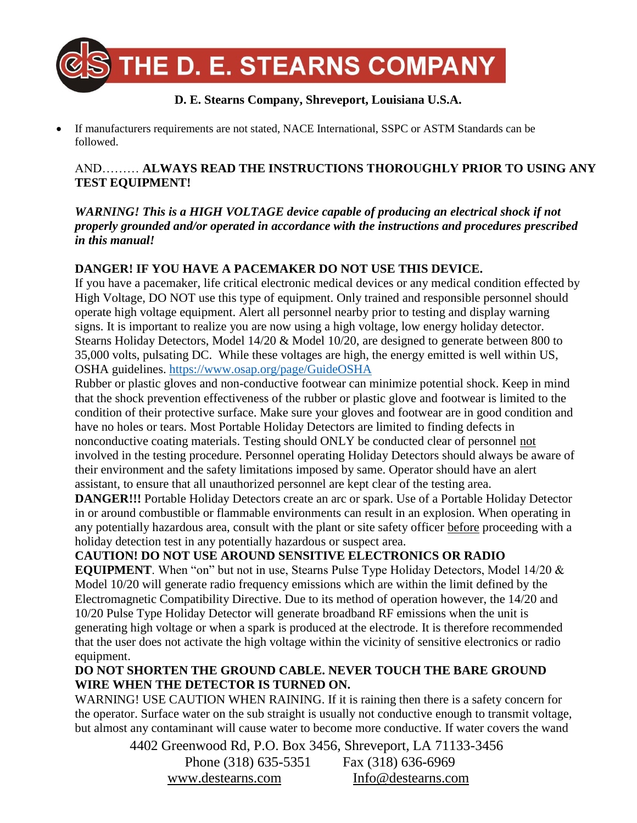

If manufacturers requirements are not stated, NACE International, SSPC or ASTM Standards can be followed.

### AND……… **ALWAYS READ THE INSTRUCTIONS THOROUGHLY PRIOR TO USING ANY TEST EQUIPMENT!**

*WARNING! This is a HIGH VOLTAGE device capable of producing an electrical shock if not properly grounded and/or operated in accordance with the instructions and procedures prescribed in this manual!*

### **DANGER! IF YOU HAVE A PACEMAKER DO NOT USE THIS DEVICE.**

If you have a pacemaker, life critical electronic medical devices or any medical condition effected by High Voltage, DO NOT use this type of equipment. Only trained and responsible personnel should operate high voltage equipment. Alert all personnel nearby prior to testing and display warning signs. It is important to realize you are now using a high voltage, low energy holiday detector. Stearns Holiday Detectors, Model 14/20 & Model 10/20, are designed to generate between 800 to 35,000 volts, pulsating DC. While these voltages are high, the energy emitted is well within US, OSHA guidelines.<https://www.osap.org/page/GuideOSHA>

Rubber or plastic gloves and non-conductive footwear can minimize potential shock. Keep in mind that the shock prevention effectiveness of the rubber or plastic glove and footwear is limited to the condition of their protective surface. Make sure your gloves and footwear are in good condition and have no holes or tears. Most Portable Holiday Detectors are limited to finding defects in nonconductive coating materials. Testing should ONLY be conducted clear of personnel not involved in the testing procedure. Personnel operating Holiday Detectors should always be aware of their environment and the safety limitations imposed by same. Operator should have an alert assistant, to ensure that all unauthorized personnel are kept clear of the testing area.

**DANGER!!!** Portable Holiday Detectors create an arc or spark. Use of a Portable Holiday Detector in or around combustible or flammable environments can result in an explosion. When operating in any potentially hazardous area, consult with the plant or site safety officer before proceeding with a holiday detection test in any potentially hazardous or suspect area.

### **CAUTION! DO NOT USE AROUND SENSITIVE ELECTRONICS OR RADIO**

**EQUIPMENT**. When "on" but not in use, Stearns Pulse Type Holiday Detectors, Model 14/20 & Model 10/20 will generate radio frequency emissions which are within the limit defined by the Electromagnetic Compatibility Directive. Due to its method of operation however, the 14/20 and 10/20 Pulse Type Holiday Detector will generate broadband RF emissions when the unit is generating high voltage or when a spark is produced at the electrode. It is therefore recommended that the user does not activate the high voltage within the vicinity of sensitive electronics or radio equipment.

### **DO NOT SHORTEN THE GROUND CABLE. NEVER TOUCH THE BARE GROUND WIRE WHEN THE DETECTOR IS TURNED ON.**

WARNING! USE CAUTION WHEN RAINING. If it is raining then there is a safety concern for the operator. Surface water on the sub straight is usually not conductive enough to transmit voltage, but almost any contaminant will cause water to become more conductive. If water covers the wand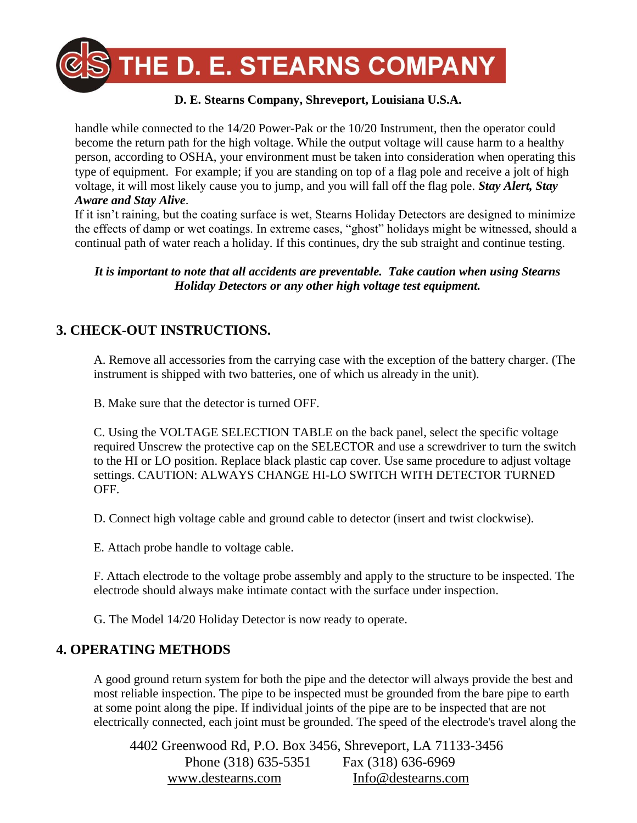

handle while connected to the 14/20 Power-Pak or the 10/20 Instrument, then the operator could become the return path for the high voltage. While the output voltage will cause harm to a healthy person, according to OSHA, your environment must be taken into consideration when operating this type of equipment. For example; if you are standing on top of a flag pole and receive a jolt of high voltage, it will most likely cause you to jump, and you will fall off the flag pole. *Stay Alert, Stay Aware and Stay Alive*.

If it isn't raining, but the coating surface is wet, Stearns Holiday Detectors are designed to minimize the effects of damp or wet coatings. In extreme cases, "ghost" holidays might be witnessed, should a continual path of water reach a holiday. If this continues, dry the sub straight and continue testing.

*It is important to note that all accidents are preventable. Take caution when using Stearns Holiday Detectors or any other high voltage test equipment.*

### **3. CHECK-OUT INSTRUCTIONS.**

A. Remove all accessories from the carrying case with the exception of the battery charger. (The instrument is shipped with two batteries, one of which us already in the unit).

B. Make sure that the detector is turned OFF.

C. Using the VOLTAGE SELECTION TABLE on the back panel, select the specific voltage required Unscrew the protective cap on the SELECTOR and use a screwdriver to turn the switch to the HI or LO position. Replace black plastic cap cover. Use same procedure to adjust voltage settings. CAUTION: ALWAYS CHANGE HI-LO SWITCH WITH DETECTOR TURNED OFF.

D. Connect high voltage cable and ground cable to detector (insert and twist clockwise).

E. Attach probe handle to voltage cable.

F. Attach electrode to the voltage probe assembly and apply to the structure to be inspected. The electrode should always make intimate contact with the surface under inspection.

G. The Model 14/20 Holiday Detector is now ready to operate.

### **4. OPERATING METHODS**

A good ground return system for both the pipe and the detector will always provide the best and most reliable inspection. The pipe to be inspected must be grounded from the bare pipe to earth at some point along the pipe. If individual joints of the pipe are to be inspected that are not electrically connected, each joint must be grounded. The speed of the electrode's travel along the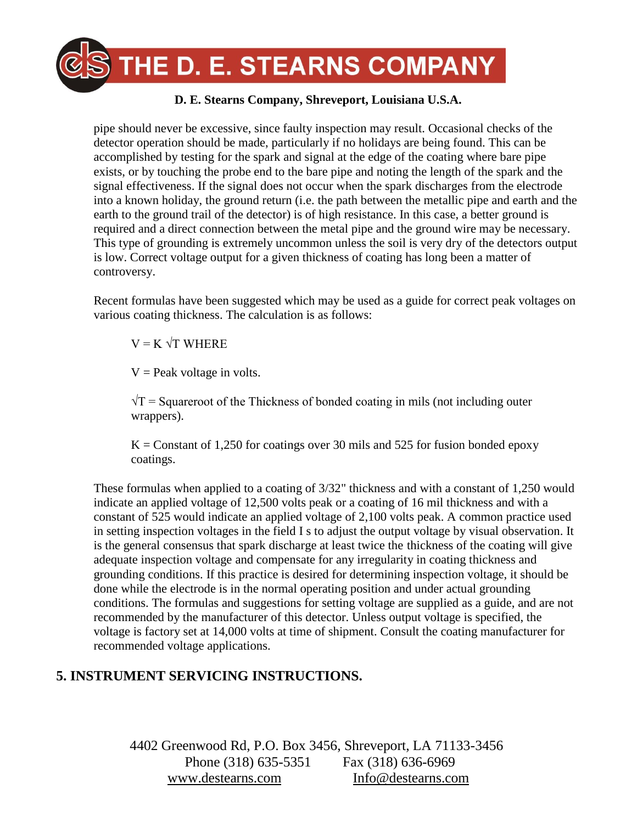

pipe should never be excessive, since faulty inspection may result. Occasional checks of the detector operation should be made, particularly if no holidays are being found. This can be accomplished by testing for the spark and signal at the edge of the coating where bare pipe exists, or by touching the probe end to the bare pipe and noting the length of the spark and the signal effectiveness. If the signal does not occur when the spark discharges from the electrode into a known holiday, the ground return (i.e. the path between the metallic pipe and earth and the earth to the ground trail of the detector) is of high resistance. In this case, a better ground is required and a direct connection between the metal pipe and the ground wire may be necessary. This type of grounding is extremely uncommon unless the soil is very dry of the detectors output is low. Correct voltage output for a given thickness of coating has long been a matter of controversy.

Recent formulas have been suggested which may be used as a guide for correct peak voltages on various coating thickness. The calculation is as follows:

 $V = K \sqrt{T}$  WHERE

 $V =$  Peak voltage in volts.

 $\sqrt{T}$  = Squareroot of the Thickness of bonded coating in mils (not including outer wrappers).

 $K =$  Constant of 1,250 for coatings over 30 mils and 525 for fusion bonded epoxy coatings.

These formulas when applied to a coating of 3/32" thickness and with a constant of 1,250 would indicate an applied voltage of 12,500 volts peak or a coating of 16 mil thickness and with a constant of 525 would indicate an applied voltage of 2,100 volts peak. A common practice used in setting inspection voltages in the field I s to adjust the output voltage by visual observation. It is the general consensus that spark discharge at least twice the thickness of the coating will give adequate inspection voltage and compensate for any irregularity in coating thickness and grounding conditions. If this practice is desired for determining inspection voltage, it should be done while the electrode is in the normal operating position and under actual grounding conditions. The formulas and suggestions for setting voltage are supplied as a guide, and are not recommended by the manufacturer of this detector. Unless output voltage is specified, the voltage is factory set at 14,000 volts at time of shipment. Consult the coating manufacturer for recommended voltage applications.

# **5. INSTRUMENT SERVICING INSTRUCTIONS.**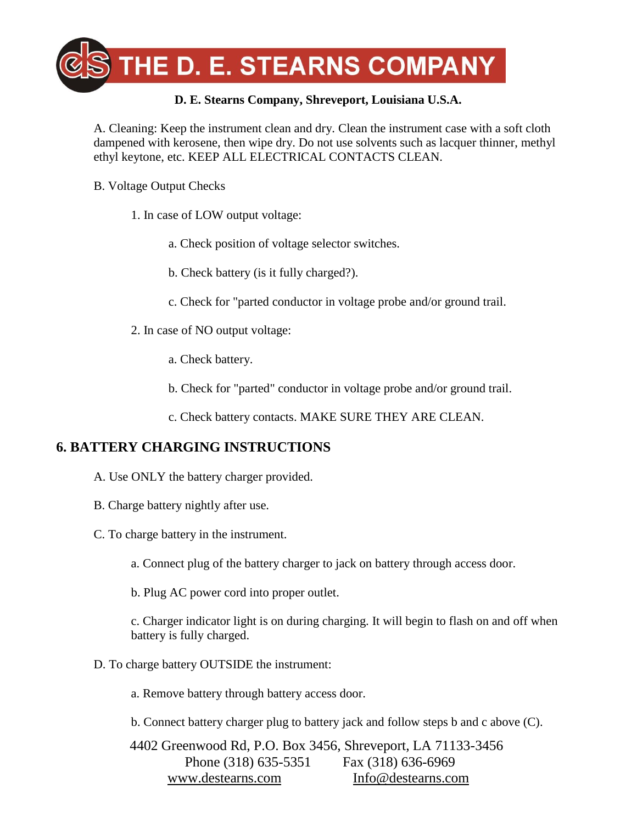

A. Cleaning: Keep the instrument clean and dry. Clean the instrument case with a soft cloth dampened with kerosene, then wipe dry. Do not use solvents such as lacquer thinner, methyl ethyl keytone, etc. KEEP ALL ELECTRICAL CONTACTS CLEAN.

- B. Voltage Output Checks
	- 1. In case of LOW output voltage:
		- a. Check position of voltage selector switches.
		- b. Check battery (is it fully charged?).
		- c. Check for "parted conductor in voltage probe and/or ground trail.
	- 2. In case of NO output voltage:
		- a. Check battery.
		- b. Check for "parted" conductor in voltage probe and/or ground trail.
		- c. Check battery contacts. MAKE SURE THEY ARE CLEAN.

# **6. BATTERY CHARGING INSTRUCTIONS**

- A. Use ONLY the battery charger provided.
- B. Charge battery nightly after use.
- C. To charge battery in the instrument.
	- a. Connect plug of the battery charger to jack on battery through access door.
	- b. Plug AC power cord into proper outlet.

c. Charger indicator light is on during charging. It will begin to flash on and off when battery is fully charged.

D. To charge battery OUTSIDE the instrument:

a. Remove battery through battery access door.

b. Connect battery charger plug to battery jack and follow steps b and c above (C).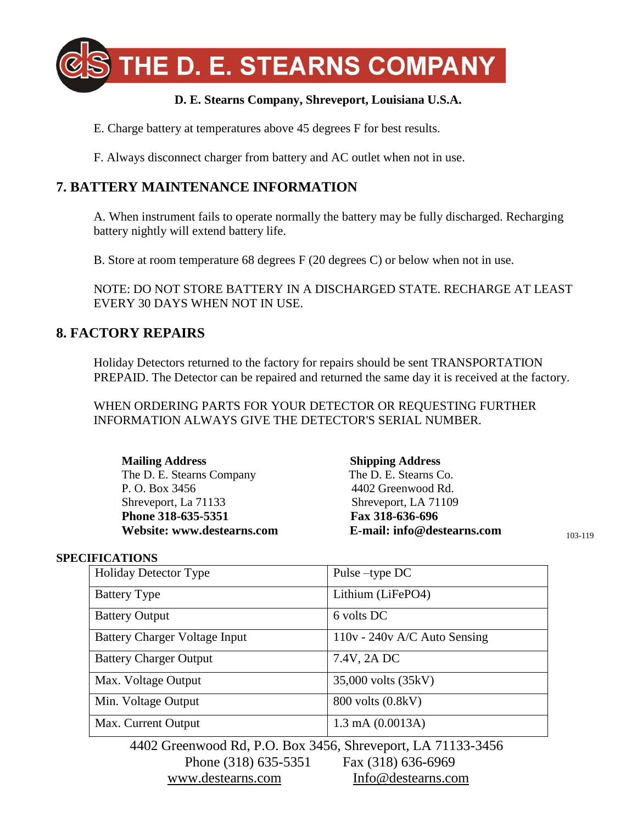

E. Charge battery at temperatures above 45 degrees F for best results.

F. Always disconnect charger from battery and AC outlet when not in use.

### **7. BATTERY MAINTENANCE INFORMATION**

A. When instrument fails to operate normally the battery may be fully discharged. Recharging battery nightly will extend battery life.

B. Store at room temperature 68 degrees F (20 degrees C) or below when not in use.

NOTE: DO NOT STORE BATTERY IN A DISCHARGED STATE. RECHARGE AT LEAST EVERY 30 DAYS WHEN NOT IN USE.

### **8. FACTORY REPAIRS**

Holiday Detectors returned to the factory for repairs should be sent TRANSPORTATION PREPAID. The Detector can be repaired and returned the same day it is received at the factory.

WHEN ORDERING PARTS FOR YOUR DETECTOR OR REQUESTING FURTHER INFORMATION ALWAYS GIVE THE DETECTOR'S SERIAL NUMBER.

**Mailing Address Shipping Address**  The D. E. Stearns Company The D. E. Stearns Co. P. O. Box 3456 4402 Greenwood Rd. Shreveport, La 71133 Shreveport, LA 71109 Phone 318-635-5351 **Fax 318-636-696** 

**Website: www.destearns.com E-mail: info@destearns.com** 

103-119

#### **SPECIFICATIONS**

| <b>Holiday Detector Type</b>                                | Pulse –type DC                 |
|-------------------------------------------------------------|--------------------------------|
|                                                             |                                |
| <b>Battery Type</b>                                         | Lithium (LiFePO4)              |
|                                                             |                                |
| <b>Battery Output</b>                                       | 6 volts DC                     |
|                                                             |                                |
|                                                             |                                |
| <b>Battery Charger Voltage Input</b>                        | $110v - 240v$ A/C Auto Sensing |
|                                                             |                                |
| <b>Battery Charger Output</b>                               | 7.4V, 2A DC                    |
|                                                             |                                |
| Max. Voltage Output                                         | 35,000 volts (35kV)            |
|                                                             |                                |
| Min. Voltage Output                                         | 800 volts (0.8kV)              |
|                                                             |                                |
| Max. Current Output                                         | $1.3 \text{ mA} (0.0013A)$     |
|                                                             |                                |
|                                                             |                                |
| 4402 Greenwood Rd, P.O. Box 3456, Shreveport, LA 71133-3456 |                                |

Phone (318) 635-5351 Fax (318) 636-6969 [www.destearns.com](http://www.destearns.com/) [Info@destearns.com](mailto:Info@destearns.com)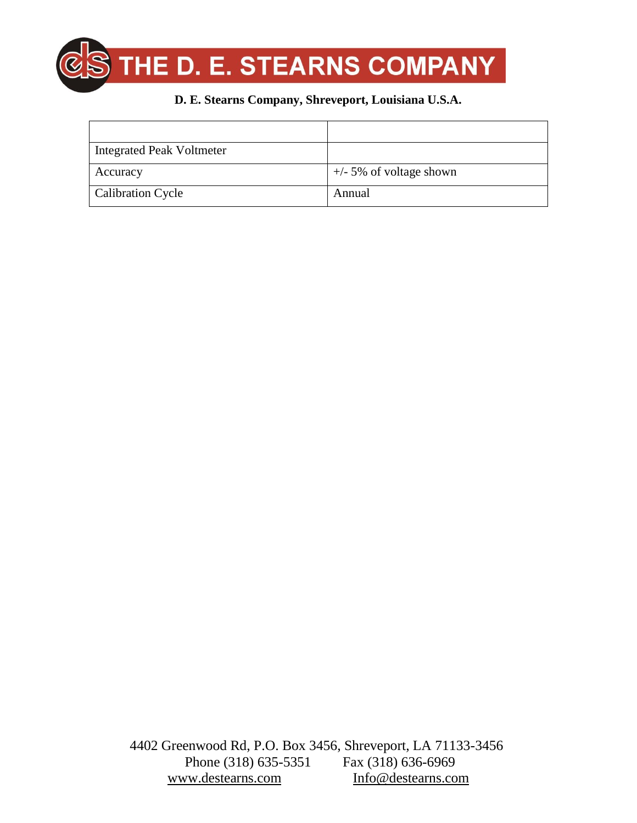

| <b>Integrated Peak Voltmeter</b> |                           |
|----------------------------------|---------------------------|
| Accuracy                         | $+/-$ 5% of voltage shown |
| <b>Calibration Cycle</b>         | Annual                    |